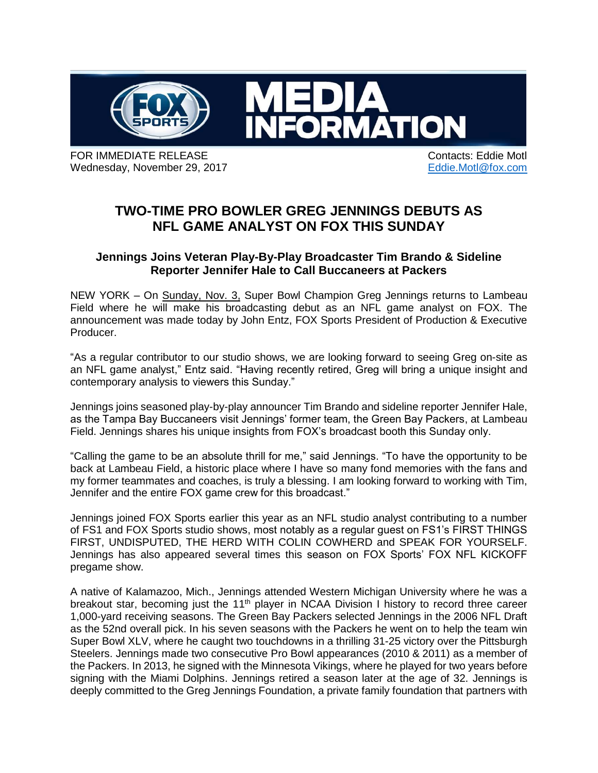

FOR IMMEDIATE RELEASE **CONTACT IN A SECOND CONTACT CONTACT CONTACT** CONTACTS: Eddie Motl Wednesday, November 29, 2017 **Eddie**.Motl@fox.com

## **TWO-TIME PRO BOWLER GREG JENNINGS DEBUTS AS NFL GAME ANALYST ON FOX THIS SUNDAY**

## **Jennings Joins Veteran Play-By-Play Broadcaster Tim Brando & Sideline Reporter Jennifer Hale to Call Buccaneers at Packers**

NEW YORK – On Sunday, Nov. 3, Super Bowl Champion Greg Jennings returns to Lambeau Field where he will make his broadcasting debut as an NFL game analyst on FOX. The announcement was made today by John Entz, FOX Sports President of Production & Executive Producer.

"As a regular contributor to our studio shows, we are looking forward to seeing Greg on-site as an NFL game analyst," Entz said. "Having recently retired, Greg will bring a unique insight and contemporary analysis to viewers this Sunday."

Jennings joins seasoned play-by-play announcer Tim Brando and sideline reporter Jennifer Hale, as the Tampa Bay Buccaneers visit Jennings' former team, the Green Bay Packers, at Lambeau Field. Jennings shares his unique insights from FOX's broadcast booth this Sunday only.

"Calling the game to be an absolute thrill for me," said Jennings. "To have the opportunity to be back at Lambeau Field, a historic place where I have so many fond memories with the fans and my former teammates and coaches, is truly a blessing. I am looking forward to working with Tim, Jennifer and the entire FOX game crew for this broadcast."

Jennings joined FOX Sports earlier this year as an NFL studio analyst contributing to a number of FS1 and FOX Sports studio shows, most notably as a regular guest on FS1's FIRST THINGS FIRST, UNDISPUTED, THE HERD WITH COLIN COWHERD and SPEAK FOR YOURSELF. Jennings has also appeared several times this season on FOX Sports' FOX NFL KICKOFF pregame show.

A native of Kalamazoo, Mich., Jennings attended Western Michigan University where he was a breakout star, becoming just the 11<sup>th</sup> player in NCAA Division I history to record three career 1,000-yard receiving seasons. The Green Bay Packers selected Jennings in the 2006 NFL Draft as the 52nd overall pick. In his seven seasons with the Packers he went on to help the team win Super Bowl XLV, where he caught two touchdowns in a thrilling 31-25 victory over the Pittsburgh Steelers. Jennings made two consecutive Pro Bowl appearances (2010 & 2011) as a member of the Packers. In 2013, he signed with the Minnesota Vikings, where he played for two years before signing with the Miami Dolphins. Jennings retired a season later at the age of 32. Jennings is deeply committed to the Greg Jennings Foundation, a private family foundation that partners with